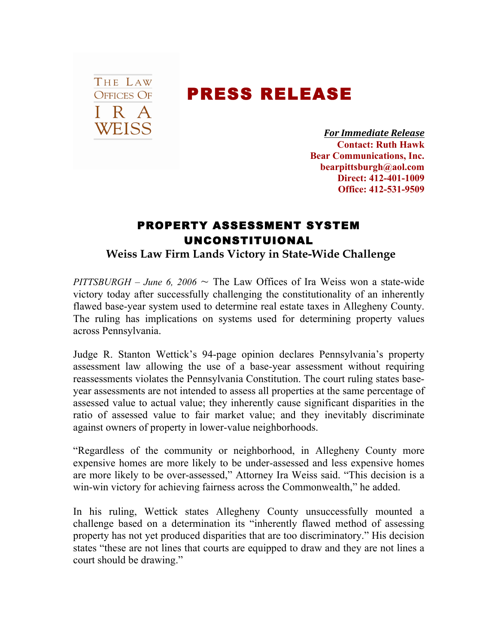## THE LAW **OFFICES OF** I R A WEISS

## PRESS RELEASE

*For!Immediate!Release* **Contact: Ruth Hawk Bear Communications, Inc. bearpittsburgh@aol.com Direct: 412-401-1009 Office: 412-531-9509**

## PROPERTY ASSESSMENT SYSTEM UNCONSTITUIONAL

**Weiss Law Firm Lands Victory in State-Wide Challenge** 

*PITTSBURGH – June 6, 2006*  $\sim$  The Law Offices of Ira Weiss won a state-wide victory today after successfully challenging the constitutionality of an inherently flawed base-year system used to determine real estate taxes in Allegheny County. The ruling has implications on systems used for determining property values across Pennsylvania.

Judge R. Stanton Wettick's 94-page opinion declares Pennsylvania's property assessment law allowing the use of a base-year assessment without requiring reassessments violates the Pennsylvania Constitution. The court ruling states baseyear assessments are not intended to assess all properties at the same percentage of assessed value to actual value; they inherently cause significant disparities in the ratio of assessed value to fair market value; and they inevitably discriminate against owners of property in lower-value neighborhoods.

"Regardless of the community or neighborhood, in Allegheny County more expensive homes are more likely to be under-assessed and less expensive homes are more likely to be over-assessed," Attorney Ira Weiss said. "This decision is a win-win victory for achieving fairness across the Commonwealth," he added.

In his ruling, Wettick states Allegheny County unsuccessfully mounted a challenge based on a determination its "inherently flawed method of assessing property has not yet produced disparities that are too discriminatory." His decision states "these are not lines that courts are equipped to draw and they are not lines a court should be drawing."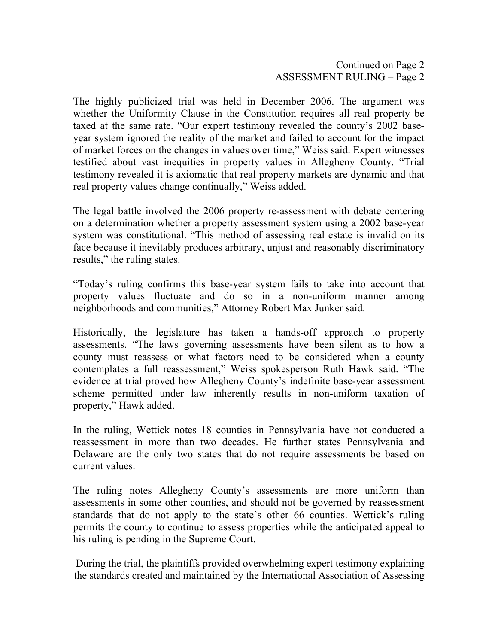Continued on Page 2 ASSESSMENT RULING – Page 2

The highly publicized trial was held in December 2006. The argument was whether the Uniformity Clause in the Constitution requires all real property be taxed at the same rate. "Our expert testimony revealed the county's 2002 baseyear system ignored the reality of the market and failed to account for the impact of market forces on the changes in values over time," Weiss said. Expert witnesses testified about vast inequities in property values in Allegheny County. "Trial testimony revealed it is axiomatic that real property markets are dynamic and that real property values change continually," Weiss added.

The legal battle involved the 2006 property re-assessment with debate centering on a determination whether a property assessment system using a 2002 base-year system was constitutional. "This method of assessing real estate is invalid on its face because it inevitably produces arbitrary, unjust and reasonably discriminatory results," the ruling states.

"Today's ruling confirms this base-year system fails to take into account that property values fluctuate and do so in a non-uniform manner among neighborhoods and communities," Attorney Robert Max Junker said.

Historically, the legislature has taken a hands-off approach to property assessments. "The laws governing assessments have been silent as to how a county must reassess or what factors need to be considered when a county contemplates a full reassessment," Weiss spokesperson Ruth Hawk said. "The evidence at trial proved how Allegheny County's indefinite base-year assessment scheme permitted under law inherently results in non-uniform taxation of property," Hawk added.

In the ruling, Wettick notes 18 counties in Pennsylvania have not conducted a reassessment in more than two decades. He further states Pennsylvania and Delaware are the only two states that do not require assessments be based on current values.

The ruling notes Allegheny County's assessments are more uniform than assessments in some other counties, and should not be governed by reassessment standards that do not apply to the state's other 66 counties. Wettick's ruling permits the county to continue to assess properties while the anticipated appeal to his ruling is pending in the Supreme Court.

During the trial, the plaintiffs provided overwhelming expert testimony explaining the standards created and maintained by the International Association of Assessing